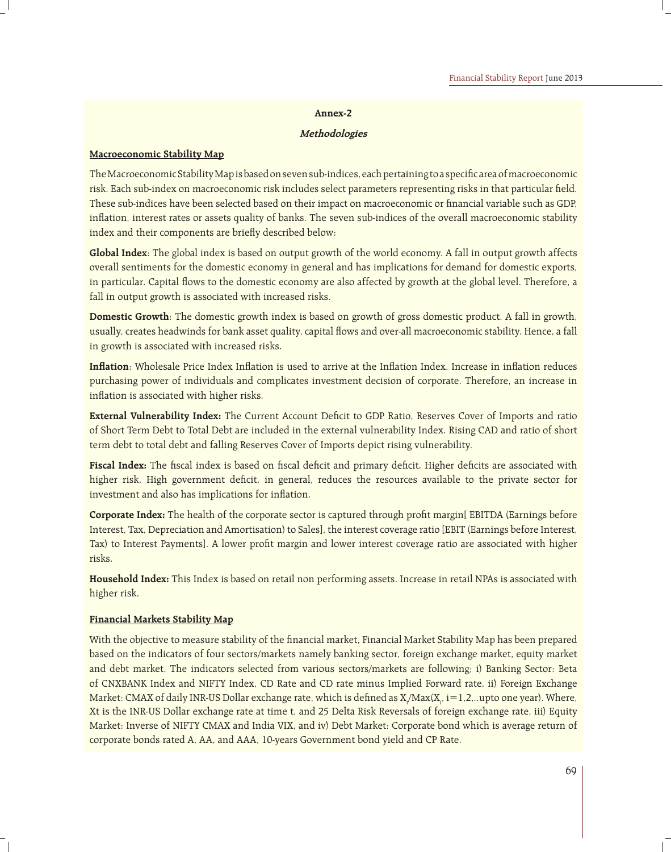#### **Annex-2**

#### **Methodologies**

#### **Macroeconomic Stability Map**

The Macroeconomic Stability Map is based on seven sub-indices, each pertaining to a specific area of macroeconomic risk. Each sub-index on macroeconomic risk includes select parameters representing risks in that particular field. These sub-indices have been selected based on their impact on macroeconomic or financial variable such as GDP, inflation, interest rates or assets quality of banks. The seven sub-indices of the overall macroeconomic stability index and their components are briefly described below:

**Global Index**: The global index is based on output growth of the world economy. A fall in output growth affects overall sentiments for the domestic economy in general and has implications for demand for domestic exports, in particular. Capital flows to the domestic economy are also affected by growth at the global level. Therefore, a fall in output growth is associated with increased risks.

**Domestic Growth**: The domestic growth index is based on growth of gross domestic product. A fall in growth, usually, creates headwinds for bank asset quality, capital flows and over-all macroeconomic stability. Hence, a fall in growth is associated with increased risks.

**Inflation**: Wholesale Price Index Inflation is used to arrive at the Inflation Index. Increase in inflation reduces purchasing power of individuals and complicates investment decision of corporate. Therefore, an increase in inflation is associated with higher risks.

**External Vulnerability Index:** The Current Account Deficit to GDP Ratio, Reserves Cover of Imports and ratio of Short Term Debt to Total Debt are included in the external vulnerability Index. Rising CAD and ratio of short term debt to total debt and falling Reserves Cover of Imports depict rising vulnerability.

Fiscal Index: The fiscal index is based on fiscal deficit and primary deficit. Higher deficits are associated with higher risk. High government deficit, in general, reduces the resources available to the private sector for investment and also has implications for inflation.

**Corporate Index:** The health of the corporate sector is captured through profit margin[ EBITDA (Earnings before Interest, Tax, Depreciation and Amortisation) to Sales], the interest coverage ratio [EBIT (Earnings before Interest, Tax) to Interest Payments]. A lower profit margin and lower interest coverage ratio are associated with higher risks.

**Household Index:** This Index is based on retail non performing assets. Increase in retail NPAs is associated with higher risk.

### **Financial Markets Stability Map**

With the objective to measure stability of the financial market, Financial Market Stability Map has been prepared based on the indicators of four sectors/markets namely banking sector, foreign exchange market, equity market and debt market. The indicators selected from various sectors/markets are following; i) Banking Sector: Beta of CNXBANK Index and NIFTY Index, CD Rate and CD rate minus Implied Forward rate, ii) Foreign Exchange Market: CMAX of daily INR-US Dollar exchange rate, which is defined as  $\rm X/Max(X_{_i}$ , i=1,2,..upto one year). Where, Xt is the INR-US Dollar exchange rate at time t, and 25 Delta Risk Reversals of foreign exchange rate, iii) Equity Market: Inverse of NIFTY CMAX and India VIX, and iv) Debt Market: Corporate bond which is average return of corporate bonds rated A, AA, and AAA, 10-years Government bond yield and CP Rate.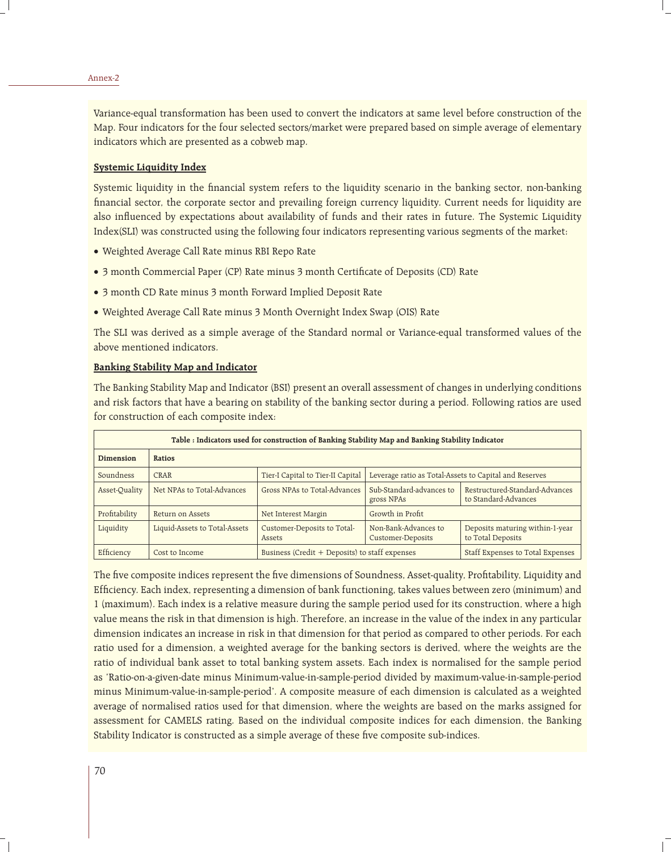Variance-equal transformation has been used to convert the indicators at same level before construction of the Map. Four indicators for the four selected sectors/market were prepared based on simple average of elementary indicators which are presented as a cobweb map.

### **Systemic Liquidity Index**

Systemic liquidity in the financial system refers to the liquidity scenario in the banking sector, non-banking financial sector, the corporate sector and prevailing foreign currency liquidity. Current needs for liquidity are also influenced by expectations about availability of funds and their rates in future. The Systemic Liquidity Index(SLI) was constructed using the following four indicators representing various segments of the market:

- Weighted Average Call Rate minus RBI Repo Rate
- 3 month Commercial Paper (CP) Rate minus 3 month Certificate of Deposits (CD) Rate
- 3 month CD Rate minus 3 month Forward Implied Deposit Rate
- Weighted Average Call Rate minus 3 Month Overnight Index Swap (OIS) Rate

The SLI was derived as a simple average of the Standard normal or Variance-equal transformed values of the above mentioned indicators.

### **Banking Stability Map and Indicator**

The Banking Stability Map and Indicator (BSI) present an overall assessment of changes in underlying conditions and risk factors that have a bearing on stability of the banking sector during a period. Following ratios are used for construction of each composite index:

| Table: Indicators used for construction of Banking Stability Map and Banking Stability Indicator |                               |                                                |                                                        |                                                        |  |  |  |
|--------------------------------------------------------------------------------------------------|-------------------------------|------------------------------------------------|--------------------------------------------------------|--------------------------------------------------------|--|--|--|
| Dimension                                                                                        | Ratios                        |                                                |                                                        |                                                        |  |  |  |
| Soundness                                                                                        | CRAR                          | Tier-I Capital to Tier-II Capital              | Leverage ratio as Total-Assets to Capital and Reserves |                                                        |  |  |  |
| Asset-Quality                                                                                    | Net NPAs to Total-Advances    | Gross NPAs to Total-Advances                   | Sub-Standard-advances to<br>gross NPAs                 | Restructured-Standard-Advances<br>to Standard-Advances |  |  |  |
| Profitability                                                                                    | Return on Assets              | Net Interest Margin                            | Growth in Profit                                       |                                                        |  |  |  |
| Liquidity                                                                                        | Liquid-Assets to Total-Assets | Customer-Deposits to Total-<br>Assets          | Non-Bank-Advances to<br><b>Customer-Deposits</b>       | Deposits maturing within-1-year<br>to Total Deposits   |  |  |  |
| Efficiency                                                                                       | Cost to Income                | Business (Credit + Deposits) to staff expenses |                                                        | Staff Expenses to Total Expenses                       |  |  |  |

The five composite indices represent the five dimensions of Soundness, Asset-quality, Profitability, Liquidity and Efficiency. Each index, representing a dimension of bank functioning, takes values between zero (minimum) and 1 (maximum). Each index is a relative measure during the sample period used for its construction, where a high value means the risk in that dimension is high. Therefore, an increase in the value of the index in any particular dimension indicates an increase in risk in that dimension for that period as compared to other periods. For each ratio used for a dimension, a weighted average for the banking sectors is derived, where the weights are the ratio of individual bank asset to total banking system assets. Each index is normalised for the sample period as 'Ratio-on-a-given-date minus Minimum-value-in-sample-period divided by maximum-value-in-sample-period minus Minimum-value-in-sample-period'. A composite measure of each dimension is calculated as a weighted average of normalised ratios used for that dimension, where the weights are based on the marks assigned for assessment for CAMELS rating. Based on the individual composite indices for each dimension, the Banking Stability Indicator is constructed as a simple average of these five composite sub-indices.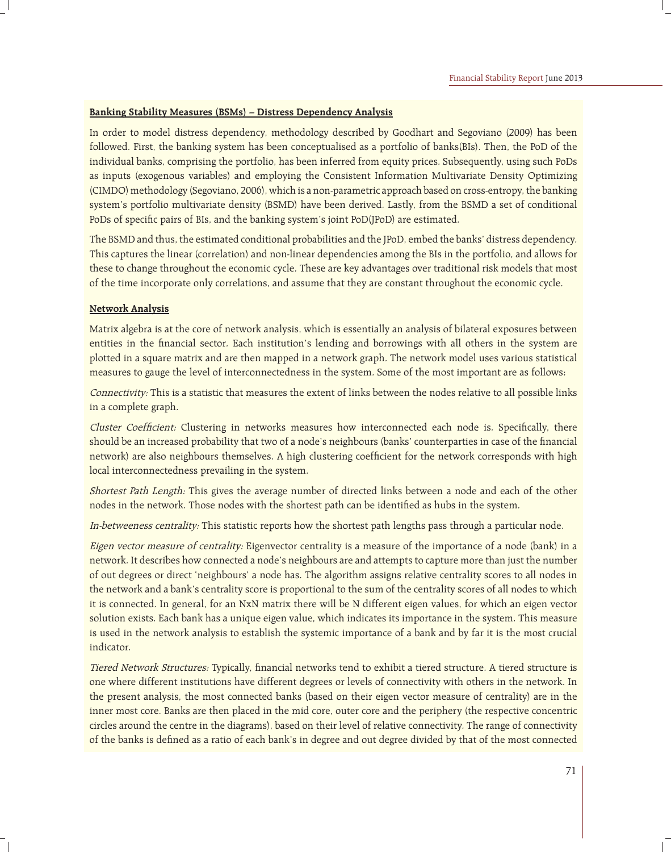# **Banking Stability Measures (BSMs) – Distress Dependency Analysis**

In order to model distress dependency, methodology described by Goodhart and Segoviano (2009) has been followed. First, the banking system has been conceptualised as a portfolio of banks(BIs). Then, the PoD of the individual banks, comprising the portfolio, has been inferred from equity prices. Subsequently, using such PoDs as inputs (exogenous variables) and employing the Consistent Information Multivariate Density Optimizing (CIMDO) methodology (Segoviano, 2006), which is a non-parametric approach based on cross-entropy, the banking system's portfolio multivariate density (BSMD) have been derived. Lastly, from the BSMD a set of conditional PoDs of specific pairs of BIs, and the banking system's joint PoD(JPoD) are estimated.

The BSMD and thus, the estimated conditional probabilities and the JPoD, embed the banks' distress dependency. This captures the linear (correlation) and non-linear dependencies among the BIs in the portfolio, and allows for these to change throughout the economic cycle. These are key advantages over traditional risk models that most of the time incorporate only correlations, and assume that they are constant throughout the economic cycle.

### **Network Analysis**

Matrix algebra is at the core of network analysis, which is essentially an analysis of bilateral exposures between entities in the financial sector. Each institution's lending and borrowings with all others in the system are plotted in a square matrix and are then mapped in a network graph. The network model uses various statistical measures to gauge the level of interconnectedness in the system. Some of the most important are as follows:

Connectivity: This is a statistic that measures the extent of links between the nodes relative to all possible links in a complete graph.

Cluster Coefficient: Clustering in networks measures how interconnected each node is. Specifically, there should be an increased probability that two of a node's neighbours (banks' counterparties in case of the financial network) are also neighbours themselves. A high clustering coefficient for the network corresponds with high local interconnectedness prevailing in the system.

Shortest Path Length: This gives the average number of directed links between a node and each of the other nodes in the network. Those nodes with the shortest path can be identified as hubs in the system.

In-betweeness centrality: This statistic reports how the shortest path lengths pass through a particular node.

Eigen vector measure of centrality: Eigenvector centrality is a measure of the importance of a node (bank) in a network. It describes how connected a node's neighbours are and attempts to capture more than just the number of out degrees or direct 'neighbours' a node has. The algorithm assigns relative centrality scores to all nodes in the network and a bank's centrality score is proportional to the sum of the centrality scores of all nodes to which it is connected. In general, for an NxN matrix there will be N different eigen values, for which an eigen vector solution exists. Each bank has a unique eigen value, which indicates its importance in the system. This measure is used in the network analysis to establish the systemic importance of a bank and by far it is the most crucial indicator.

Tiered Network Structures: Typically, financial networks tend to exhibit a tiered structure. A tiered structure is one where different institutions have different degrees or levels of connectivity with others in the network. In the present analysis, the most connected banks (based on their eigen vector measure of centrality) are in the inner most core. Banks are then placed in the mid core, outer core and the periphery (the respective concentric circles around the centre in the diagrams), based on their level of relative connectivity. The range of connectivity of the banks is defined as a ratio of each bank's in degree and out degree divided by that of the most connected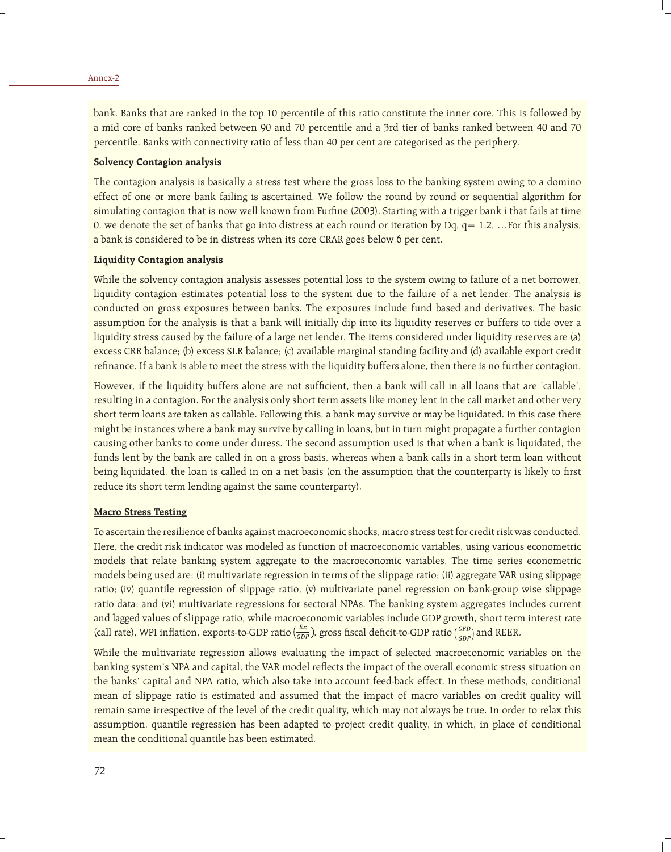bank. Banks that are ranked in the top 10 percentile of this ratio constitute the inner core. This is followed by a mid core of banks ranked between 90 and 70 percentile and a 3rd tier of banks ranked between 40 and 70 percentile. Banks with connectivity ratio of less than 40 per cent are categorised as the periphery.

#### **Solvency Contagion analysis**

The contagion analysis is basically a stress test where the gross loss to the banking system owing to a domino effect of one or more bank failing is ascertained. We follow the round by round or sequential algorithm for simulating contagion that is now well known from Furfine (2003). Starting with a trigger bank i that fails at time 0, we denote the set of banks that go into distress at each round or iteration by Dq,  $q= 1,2,...$  For this analysis, a bank is considered to be in distress when its core CRAR goes below 6 per cent.

#### **Liquidity Contagion analysis**

While the solvency contagion analysis assesses potential loss to the system owing to failure of a net borrower, liquidity contagion estimates potential loss to the system due to the failure of a net lender. The analysis is conducted on gross exposures between banks. The exposures include fund based and derivatives. The basic assumption for the analysis is that a bank will initially dip into its liquidity reserves or buffers to tide over a liquidity stress caused by the failure of a large net lender. The items considered under liquidity reserves are (a) excess CRR balance; (b) excess SLR balance; (c) available marginal standing facility and (d) available export credit refinance. If a bank is able to meet the stress with the liquidity buffers alone, then there is no further contagion.

However, if the liquidity buffers alone are not sufficient, then a bank will call in all loans that are 'callable', resulting in a contagion. For the analysis only short term assets like money lent in the call market and other very short term loans are taken as callable. Following this, a bank may survive or may be liquidated. In this case there might be instances where a bank may survive by calling in loans, but in turn might propagate a further contagion causing other banks to come under duress. The second assumption used is that when a bank is liquidated, the funds lent by the bank are called in on a gross basis, whereas when a bank calls in a short term loan without being liquidated, the loan is called in on a net basis (on the assumption that the counterparty is likely to first reduce its short term lending against the same counterparty).

### **Macro Stress Testing**

To ascertain the resilience of banks against macroeconomic shocks, macro stress test for credit risk was conducted. Here, the credit risk indicator was modeled as function of macroeconomic variables, using various econometric models that relate banking system aggregate to the macroeconomic variables. The time series econometric models being used are; (i) multivariate regression in terms of the slippage ratio; (ii) aggregate VAR using slippage ratio; (iv) quantile regression of slippage ratio, (v) multivariate panel regression on bank-group wise slippage ratio data; and (vi) multivariate regressions for sectoral NPAs. The banking system aggregates includes current and lagged values of slippage ratio, while macroeconomic variables include GDP growth, short term interest rate (call rate), WPI inflation, exports-to-GDP ratio  $\left(\frac{EX}{GDP}\right)$ , gross fiscal deficit-to-GDP ratio  $\left(\frac{GFD}{GDP}\right)$  and REER.

While the multivariate regression allows evaluating the impact of selected macroeconomic variables on the banking system's NPA and capital, the VAR model reflects the impact of the overall economic stress situation on the banks' capital and NPA ratio, which also take into account feed-back effect. In these methods, conditional mean of slippage ratio is estimated and assumed that the impact of macro variables on credit quality will remain same irrespective of the level of the credit quality, which may not always be true. In order to relax this assumption, quantile regression has been adapted to project credit quality, in which, in place of conditional mean the conditional quantile has been estimated.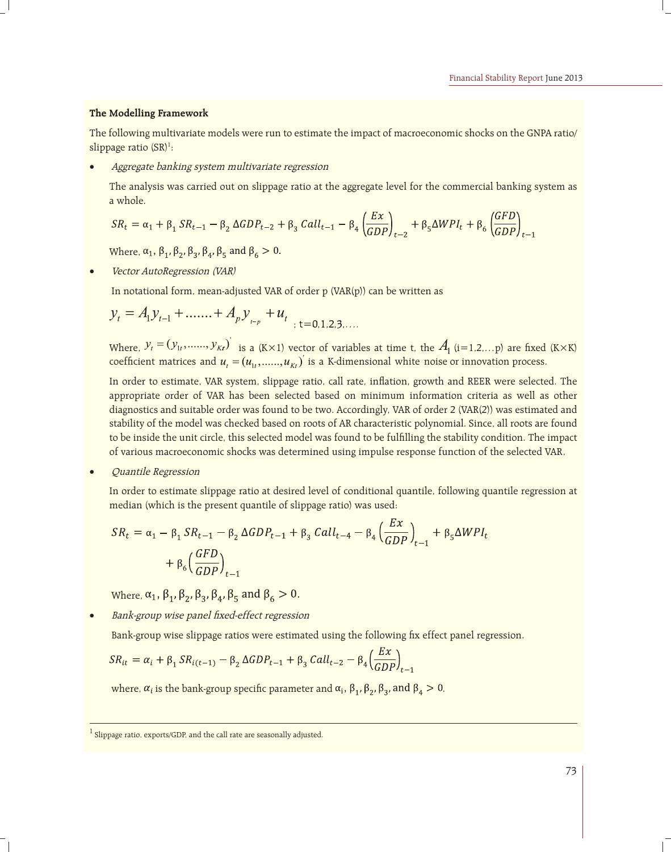### **The Modelling Framework**

The following multivariate models were run to estimate the impact of macroeconomic shocks on the GNPA ratio/ slippage ratio (SR)<sup>1</sup>:

Aggregate banking system multivariate regression

The analysis was carried out on slippage ratio at the aggregate level for the commercial banking system as a whole.

$$
SR_t = \alpha_1 + \beta_1 SR_{t-1} - \beta_2 \Delta GDP_{t-2} + \beta_3 Call_{t-1} - \beta_4 \left(\frac{Ex}{GDP}\right)_{t-2} + \beta_5 \Delta WPI_t + \beta_6 \left(\frac{GFD}{GDP}\right)_{t-1}
$$

Where,  $\alpha_1$ ,  $\beta_1$ ,  $\beta_2$ ,  $\beta_3$ ,  $\beta_4$ ,  $\beta_5$  and  $\beta_6 > 0$ .

Vector AutoRegression (VAR)

In notational form, mean-adjusted VAR of order p (VAR(p)) can be written as

$$
y_t = A_1 y_{t-1} + \dots + A_p y_{t-p} + u_t
$$

Where,  $y_t = (y_{1t}, \ldots, y_{Kt})$  is a (K×1) vector of variables at time t, the  $A_1$  (i=1,2,...p) are fixed (K×K) coefficient matrices and  $u_t = (u_{1t}, \dots, u_{kt})$  is a K-dimensional white noise or innovation process.

In order to estimate, VAR system, slippage ratio, call rate, inflation, growth and REER were selected. The appropriate order of VAR has been selected based on minimum information criteria as well as other diagnostics and suitable order was found to be two. Accordingly, VAR of order 2 (VAR(2)) was estimated and stability of the model was checked based on roots of AR characteristic polynomial. Since, all roots are found to be inside the unit circle, this selected model was found to be fulfilling the stability condition. The impact of various macroeconomic shocks was determined using impulse response function of the selected VAR.

Quantile Regression

In order to estimate slippage ratio at desired level of conditional quantile, following quantile regression at median (which is the present quantile of slippage ratio) was used:

$$
SR_{t} = \alpha_{1} - \beta_{1} SR_{t-1} - \beta_{2} \Delta GDP_{t-1} + \beta_{3} Call_{t-4} - \beta_{4} \left(\frac{EX}{GDP}\right)_{t-1} + \beta_{5} \Delta WPI_{t}
$$

$$
+ \beta_{6} \left(\frac{GFD}{GDP}\right)_{t-1}
$$

Where,  $\alpha_1$ ,  $\beta_1$ ,  $\beta_2$ ,  $\beta_3$ ,  $\beta_4$ ,  $\beta_5$  and  $\beta_6 > 0$ .

Bank-group wise panel fixed-effect regression

Bank-group wise slippage ratios were estimated using the following fix effect panel regression.

$$
SR_{it} = \alpha_i + \beta_1 SR_{i(t-1)} - \beta_2 \Delta GDP_{t-1} + \beta_3 Call_{t-2} - \beta_4 \left(\frac{Ex}{GDP}\right)_{t-1}
$$

where,  $\alpha_i$  is the bank-group specific parameter and  $\alpha_i$ ,  $\beta_1$ ,  $\beta_2$ ,  $\beta_3$ , and  $\beta_4 > 0$ .

Slippage ratio, exports/GDP, and the call rate are seasonally adjusted.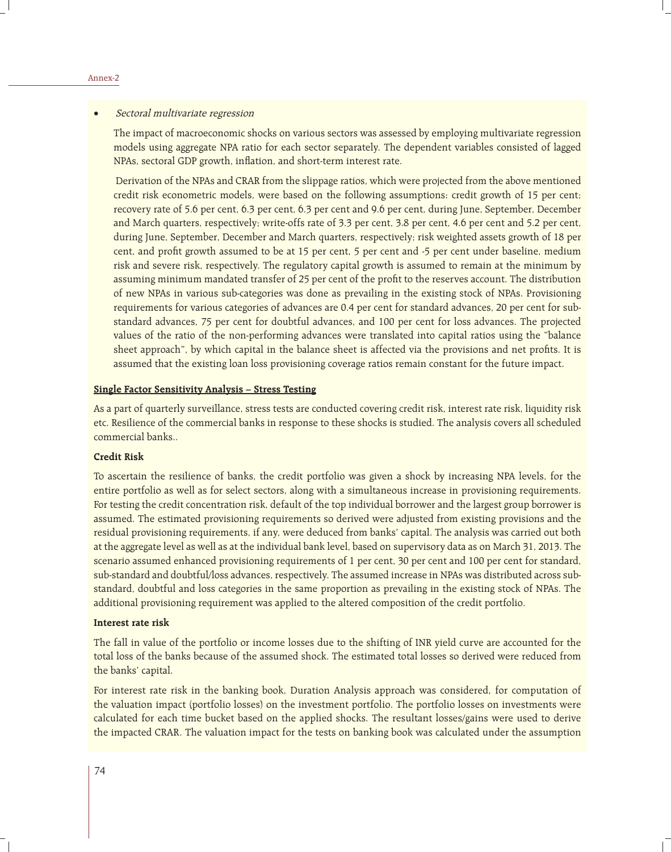#### Sectoral multivariate regression

The impact of macroeconomic shocks on various sectors was assessed by employing multivariate regression models using aggregate NPA ratio for each sector separately. The dependent variables consisted of lagged NPAs, sectoral GDP growth, inflation, and short-term interest rate.

 Derivation of the NPAs and CRAR from the slippage ratios, which were projected from the above mentioned credit risk econometric models, were based on the following assumptions: credit growth of 15 per cent; recovery rate of 5.6 per cent, 6.3 per cent, 6.3 per cent and 9.6 per cent, during June, September, December and March quarters, respectively; write-offs rate of 3.3 per cent, 3.8 per cent, 4.6 per cent and 5.2 per cent, during June, September, December and March quarters, respectively; risk weighted assets growth of 18 per cent, and profit growth assumed to be at 15 per cent, 5 per cent and -5 per cent under baseline, medium risk and severe risk, respectively. The regulatory capital growth is assumed to remain at the minimum by assuming minimum mandated transfer of 25 per cent of the profit to the reserves account. The distribution of new NPAs in various sub-categories was done as prevailing in the existing stock of NPAs. Provisioning requirements for various categories of advances are 0.4 per cent for standard advances, 20 per cent for substandard advances, 75 per cent for doubtful advances, and 100 per cent for loss advances. The projected values of the ratio of the non-performing advances were translated into capital ratios using the "balance sheet approach", by which capital in the balance sheet is affected via the provisions and net profits. It is assumed that the existing loan loss provisioning coverage ratios remain constant for the future impact.

### **Single Factor Sensitivity Analysis – Stress Testing**

As a part of quarterly surveillance, stress tests are conducted covering credit risk, interest rate risk, liquidity risk etc. Resilience of the commercial banks in response to these shocks is studied. The analysis covers all scheduled commercial banks..

#### **Credit Risk**

To ascertain the resilience of banks, the credit portfolio was given a shock by increasing NPA levels, for the entire portfolio as well as for select sectors, along with a simultaneous increase in provisioning requirements. For testing the credit concentration risk, default of the top individual borrower and the largest group borrower is assumed. The estimated provisioning requirements so derived were adjusted from existing provisions and the residual provisioning requirements, if any, were deduced from banks' capital. The analysis was carried out both at the aggregate level as well as at the individual bank level, based on supervisory data as on March 31, 2013. The scenario assumed enhanced provisioning requirements of 1 per cent, 30 per cent and 100 per cent for standard, sub-standard and doubtful/loss advances, respectively. The assumed increase in NPAs was distributed across substandard, doubtful and loss categories in the same proportion as prevailing in the existing stock of NPAs. The additional provisioning requirement was applied to the altered composition of the credit portfolio.

### **Interest rate risk**

The fall in value of the portfolio or income losses due to the shifting of INR yield curve are accounted for the total loss of the banks because of the assumed shock. The estimated total losses so derived were reduced from the banks' capital.

For interest rate risk in the banking book, Duration Analysis approach was considered, for computation of the valuation impact (portfolio losses) on the investment portfolio. The portfolio losses on investments were calculated for each time bucket based on the applied shocks. The resultant losses/gains were used to derive the impacted CRAR. The valuation impact for the tests on banking book was calculated under the assumption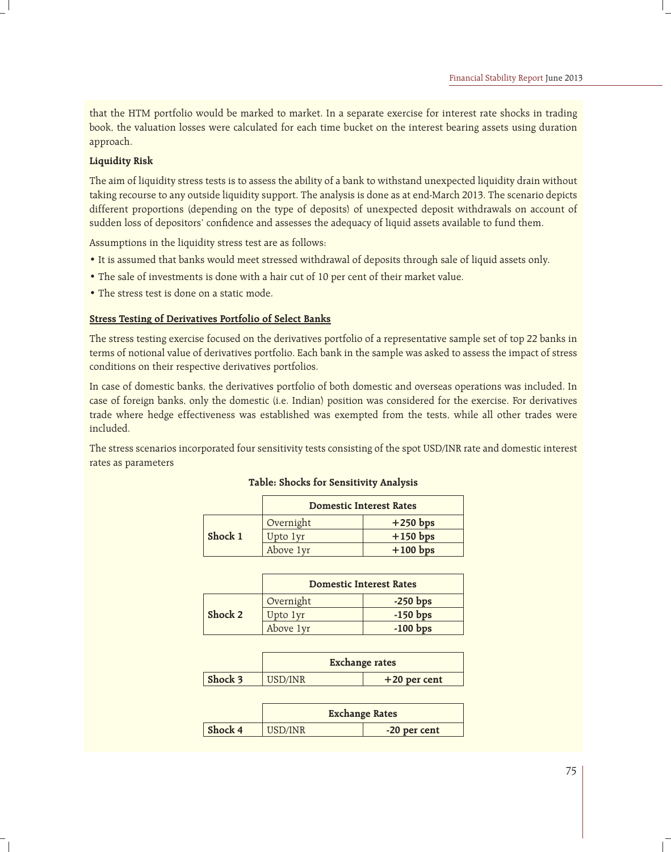that the HTM portfolio would be marked to market. In a separate exercise for interest rate shocks in trading book, the valuation losses were calculated for each time bucket on the interest bearing assets using duration approach.

## **Liquidity Risk**

The aim of liquidity stress tests is to assess the ability of a bank to withstand unexpected liquidity drain without taking recourse to any outside liquidity support. The analysis is done as at end-March 2013. The scenario depicts different proportions (depending on the type of deposits) of unexpected deposit withdrawals on account of sudden loss of depositors' confidence and assesses the adequacy of liquid assets available to fund them.

Assumptions in the liquidity stress test are as follows:

- It is assumed that banks would meet stressed withdrawal of deposits through sale of liquid assets only.
- The sale of investments is done with a hair cut of 10 per cent of their market value.
- The stress test is done on a static mode.

### **Stress Testing of Derivatives Portfolio of Select Banks**

The stress testing exercise focused on the derivatives portfolio of a representative sample set of top 22 banks in terms of notional value of derivatives portfolio. Each bank in the sample was asked to assess the impact of stress conditions on their respective derivatives portfolios.

In case of domestic banks, the derivatives portfolio of both domestic and overseas operations was included. In case of foreign banks, only the domestic (i.e. Indian) position was considered for the exercise. For derivatives trade where hedge effectiveness was established was exempted from the tests, while all other trades were included.

The stress scenarios incorporated four sensitivity tests consisting of the spot USD/INR rate and domestic interest rates as parameters

|         | <b>Domestic Interest Rates</b> |            |  |
|---------|--------------------------------|------------|--|
|         | Overnight                      | $+250$ bps |  |
| Shock 1 | Upto 1yr                       | $+150$ bps |  |
|         | Above 1yr                      | $+100$ bps |  |

### **Table: Shocks for Sensitivity Analysis**

|         | <b>Domestic Interest Rates</b> |            |
|---------|--------------------------------|------------|
|         | Overnight                      | $-250$ bps |
| Shock 2 | Upto 1yr                       | $-150$ bps |
|         | Above 1yr                      | $-100$ bps |

|         | <b>Exchange rates</b> |                |
|---------|-----------------------|----------------|
| Shock 3 | USD/INR               | $+20$ per cent |

|         | <b>Exchange Rates</b> |              |
|---------|-----------------------|--------------|
| Shock 4 | USD/INR               | -20 per cent |